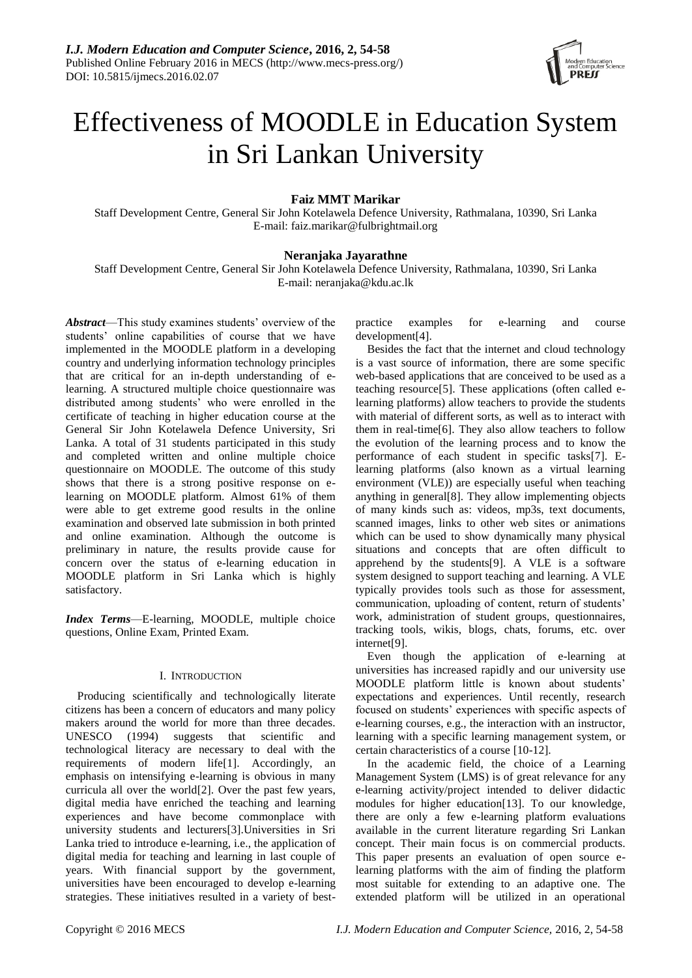

# Effectiveness of MOODLE in Education System in Sri Lankan University

# **Faiz MMT Marikar**

Staff Development Centre, General Sir John Kotelawela Defence University, Rathmalana, 10390, Sri Lanka E-mail: faiz.marikar@fulbrightmail.org

## **Neranjaka Jayarathne**

Staff Development Centre, General Sir John Kotelawela Defence University, Rathmalana, 10390, Sri Lanka E-mail: neranjaka@kdu.ac.lk

*Abstract*—This study examines students' overview of the students' online capabilities of course that we have implemented in the MOODLE platform in a developing country and underlying information technology principles that are critical for an in-depth understanding of elearning. A structured multiple choice questionnaire was distributed among students' who were enrolled in the certificate of teaching in higher education course at the General Sir John Kotelawela Defence University, Sri Lanka. A total of 31 students participated in this study and completed written and online multiple choice questionnaire on MOODLE. The outcome of this study shows that there is a strong positive response on elearning on MOODLE platform. Almost 61% of them were able to get extreme good results in the online examination and observed late submission in both printed and online examination. Although the outcome is preliminary in nature, the results provide cause for concern over the status of e-learning education in MOODLE platform in Sri Lanka which is highly satisfactory.

*Index Terms*—E-learning, MOODLE, multiple choice questions, Online Exam, Printed Exam.

## I. INTRODUCTION

Producing scientifically and technologically literate citizens has been a concern of educators and many policy makers around the world for more than three decades. UNESCO (1994) suggests that scientific and technological literacy are necessary to deal with the requirements of modern life[1]. Accordingly, an emphasis on intensifying e-learning is obvious in many curricula all over the world[2]. Over the past few years, digital media have enriched the teaching and learning experiences and have become commonplace with university students and lecturers[3].Universities in Sri Lanka tried to introduce e-learning, i.e., the application of digital media for teaching and learning in last couple of years. With financial support by the government, universities have been encouraged to develop e-learning strategies. These initiatives resulted in a variety of bestpractice examples for e-learning and course development[4].

Besides the fact that the internet and cloud technology is a vast source of information, there are some specific web-based applications that are conceived to be used as a teaching resource[5]. These applications (often called elearning platforms) allow teachers to provide the students with material of different sorts, as well as to interact with them in real-time[6]. They also allow teachers to follow the evolution of the learning process and to know the performance of each student in specific tasks[7]. Elearning platforms (also known as a virtual learning environment (VLE)) are especially useful when teaching anything in general[8]. They allow implementing objects of many kinds such as: videos, mp3s, text documents, scanned images, links to other web sites or animations which can be used to show dynamically many physical situations and concepts that are often difficult to apprehend by the students[9]. A VLE is a software system designed to support teaching and learning. A VLE typically provides tools such as those for assessment, communication, uploading of content, return of students' work, administration of student groups, questionnaires, tracking tools, wikis, blogs, chats, forums, etc. over internet[9].

Even though the application of e-learning at universities has increased rapidly and our university use MOODLE platform little is known about students' expectations and experiences. Until recently, research focused on students' experiences with specific aspects of e-learning courses, e.g., the interaction with an instructor, learning with a specific learning management system, or certain characteristics of a course [10-12].

In the academic field, the choice of a Learning Management System (LMS) is of great relevance for any e-learning activity/project intended to deliver didactic modules for higher education[13]. To our knowledge, there are only a few e-learning platform evaluations available in the current literature regarding Sri Lankan concept. Their main focus is on commercial products. This paper presents an evaluation of open source elearning platforms with the aim of finding the platform most suitable for extending to an adaptive one. The extended platform will be utilized in an operational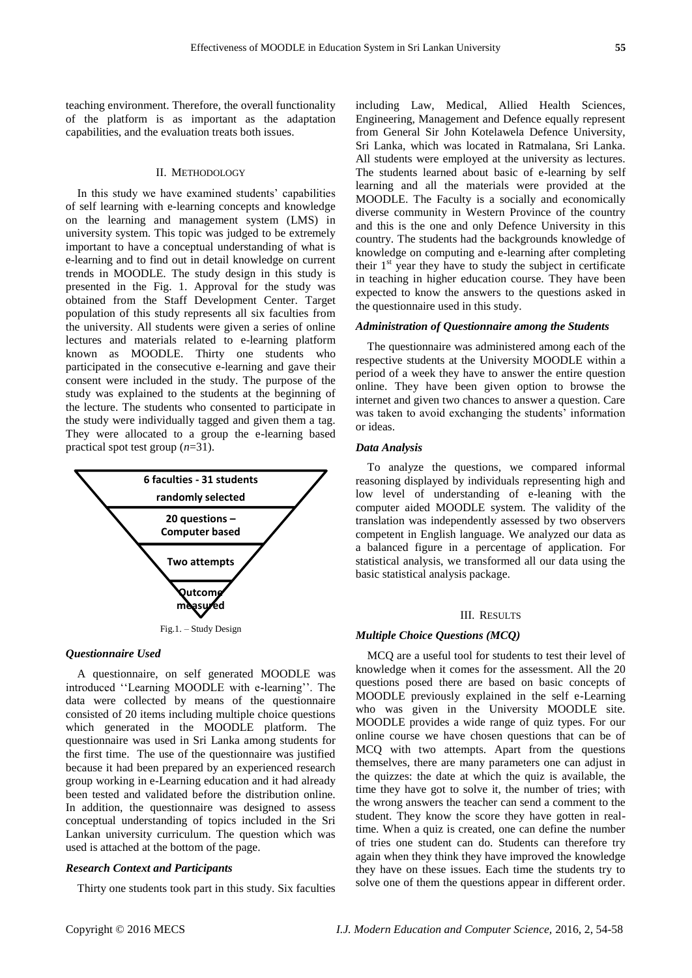teaching environment. Therefore, the overall functionality of the platform is as important as the adaptation capabilities, and the evaluation treats both issues.

#### II. METHODOLOGY

In this study we have examined students' capabilities of self learning with e-learning concepts and knowledge on the learning and management system (LMS) in university system. This topic was judged to be extremely important to have a conceptual understanding of what is e-learning and to find out in detail knowledge on current trends in MOODLE. The study design in this study is presented in the Fig. 1. Approval for the study was obtained from the Staff Development Center. Target population of this study represents all six faculties from the university. All students were given a series of online lectures and materials related to e-learning platform known as MOODLE. Thirty one students who participated in the consecutive e-learning and gave their consent were included in the study. The purpose of the study was explained to the students at the beginning of the lecture. The students who consented to participate in the study were individually tagged and given them a tag. They were allocated to a group the e-learning based practical spot test group (*n*=31).



#### *Questionnaire Used*

A questionnaire, on self generated MOODLE was introduced ''Learning MOODLE with e-learning''. The data were collected by means of the questionnaire consisted of 20 items including multiple choice questions which generated in the MOODLE platform. The questionnaire was used in Sri Lanka among students for the first time. The use of the questionnaire was justified because it had been prepared by an experienced research group working in e-Learning education and it had already been tested and validated before the distribution online. In addition, the questionnaire was designed to assess conceptual understanding of topics included in the Sri Lankan university curriculum. The question which was used is attached at the bottom of the page.

## *Research Context and Participants*

Thirty one students took part in this study. Six faculties

including Law, Medical, Allied Health Sciences, Engineering, Management and Defence equally represent from General Sir John Kotelawela Defence University, Sri Lanka, which was located in Ratmalana, Sri Lanka. All students were employed at the university as lectures. The students learned about basic of e-learning by self learning and all the materials were provided at the MOODLE. The Faculty is a socially and economically diverse community in Western Province of the country and this is the one and only Defence University in this country. The students had the backgrounds knowledge of knowledge on computing and e-learning after completing their  $1<sup>st</sup>$  year they have to study the subject in certificate in teaching in higher education course. They have been expected to know the answers to the questions asked in the questionnaire used in this study.

## *Administration of Questionnaire among the Students*

The questionnaire was administered among each of the respective students at the University MOODLE within a period of a week they have to answer the entire question online. They have been given option to browse the internet and given two chances to answer a question. Care was taken to avoid exchanging the students' information or ideas.

#### *Data Analysis*

To analyze the questions, we compared informal reasoning displayed by individuals representing high and low level of understanding of e-leaning with the computer aided MOODLE system. The validity of the translation was independently assessed by two observers competent in English language. We analyzed our data as a balanced figure in a percentage of application. For statistical analysis, we transformed all our data using the basic statistical analysis package.

#### III. RESULTS

#### *Multiple Choice Questions (MCQ)*

MCQ are a useful tool for students to test their level of knowledge when it comes for the assessment. All the 20 questions posed there are based on basic concepts of MOODLE previously explained in the self e-Learning who was given in the University MOODLE site. MOODLE provides a wide range of quiz types. For our online course we have chosen questions that can be of MCQ with two attempts. Apart from the questions themselves, there are many parameters one can adjust in the quizzes: the date at which the quiz is available, the time they have got to solve it, the number of tries; with the wrong answers the teacher can send a comment to the student. They know the score they have gotten in realtime. When a quiz is created, one can define the number of tries one student can do. Students can therefore try again when they think they have improved the knowledge they have on these issues. Each time the students try to solve one of them the questions appear in different order.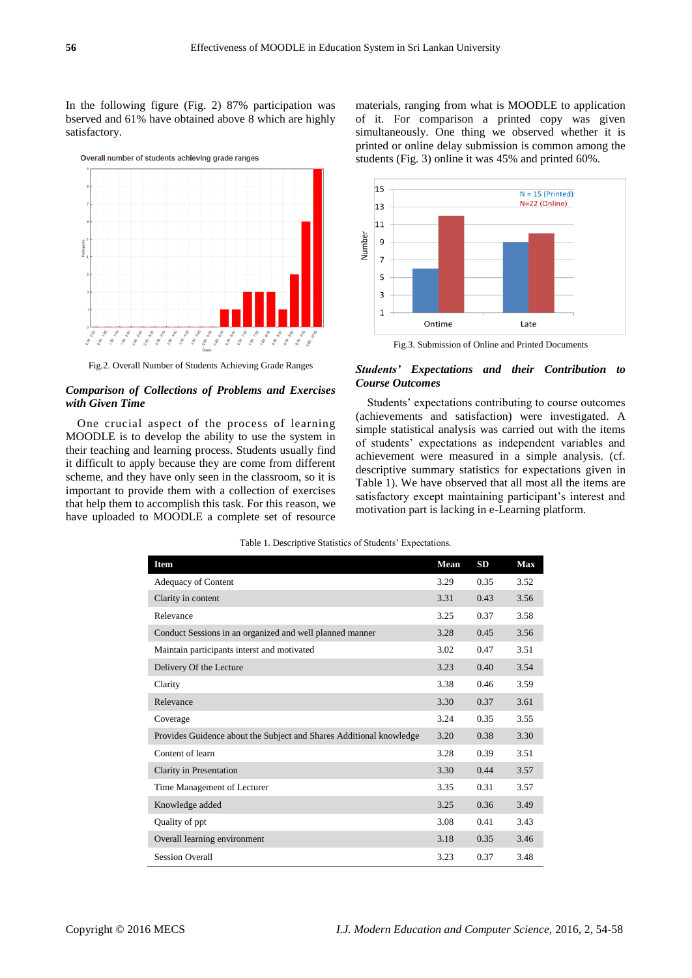In the following figure (Fig. 2) 87% participation was bserved and 61% have obtained above 8 which are highly satisfactory.



Fig.2. Overall Number of Students Achieving Grade Ranges

## *Comparison of Collections of Problems and Exercises with Given Time*

One crucial aspect of the process of learning MOODLE is to develop the ability to use the system in their teaching and learning process. Students usually find it difficult to apply because they are come from different scheme, and they have only seen in the classroom, so it is important to provide them with a collection of exercises that help them to accomplish this task. For this reason, we have uploaded to MOODLE a complete set of resource materials, ranging from what is MOODLE to application of it. For comparison a printed copy was given simultaneously. One thing we observed whether it is printed or online delay submission is common among the students (Fig. 3) online it was 45% and printed 60%.



Fig.3. Submission of Online and Printed Documents

## *Students' Expectations and their Contribution to Course Outcomes*

Students' expectations contributing to course outcomes (achievements and satisfaction) were investigated. A simple statistical analysis was carried out with the items of students' expectations as independent variables and achievement were measured in a simple analysis. (cf. descriptive summary statistics for expectations given in Table 1). We have observed that all most all the items are satisfactory except maintaining participant's interest and motivation part is lacking in e-Learning platform.

| <b>Item</b>                                                         | Mean | SD   | <b>Max</b> |
|---------------------------------------------------------------------|------|------|------------|
| Adequacy of Content                                                 | 3.29 | 0.35 | 3.52       |
| Clarity in content                                                  | 3.31 | 0.43 | 3.56       |
| Relevance                                                           | 3.25 | 0.37 | 3.58       |
| Conduct Sessions in an organized and well planned manner            | 3.28 | 0.45 | 3.56       |
| Maintain participants interst and motivated                         | 3.02 | 0.47 | 3.51       |
| Delivery Of the Lecture                                             | 3.23 | 0.40 | 3.54       |
| Clarity                                                             | 3.38 | 0.46 | 3.59       |
| Relevance                                                           | 3.30 | 0.37 | 3.61       |
| Coverage                                                            | 3.24 | 0.35 | 3.55       |
| Provides Guidence about the Subject and Shares Additional knowledge | 3.20 | 0.38 | 3.30       |
| Content of learn                                                    | 3.28 | 0.39 | 3.51       |
| Clarity in Presentation                                             | 3.30 | 0.44 | 3.57       |
| Time Management of Lecturer                                         | 3.35 | 0.31 | 3.57       |
| Knowledge added                                                     | 3.25 | 0.36 | 3.49       |
| Quality of ppt                                                      | 3.08 | 0.41 | 3.43       |
| Overall learning environment                                        | 3.18 | 0.35 | 3.46       |
| <b>Session Overall</b>                                              | 3.23 | 0.37 | 3.48       |

| Table 1. Descriptive Statistics of Students' Expectations. |  |  |
|------------------------------------------------------------|--|--|
|                                                            |  |  |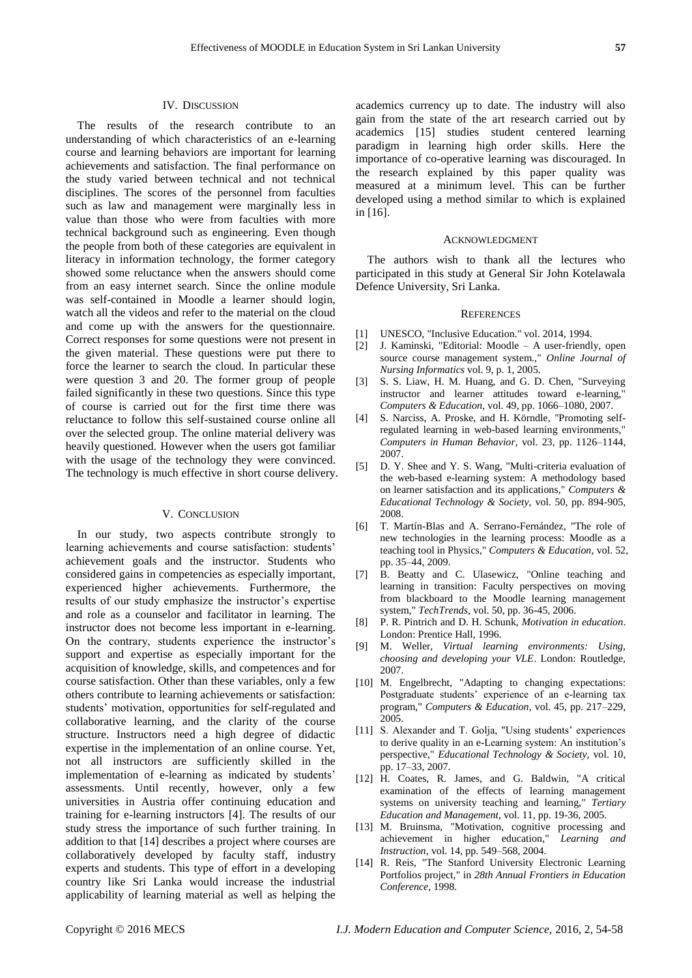The results of the research contribute to an understanding of which characteristics of an e-learning course and learning behaviors are important for learning achievements and satisfaction. The final performance on the study varied between technical and not technical disciplines. The scores of the personnel from faculties such as law and management were marginally less in value than those who were from faculties with more technical background such as engineering. Even though the people from both of these categories are equivalent in literacy in information technology, the former category showed some reluctance when the answers should come from an easy internet search. Since the online module was self-contained in Moodle a learner should login, watch all the videos and refer to the material on the cloud and come up with the answers for the questionnaire. Correct responses for some questions were not present in the given material. These questions were put there to force the learner to search the cloud. In particular these were question 3 and 20. The former group of people failed significantly in these two questions. Since this type of course is carried out for the first time there was reluctance to follow this self-sustained course online all over the selected group. The online material delivery was heavily questioned. However when the users got familiar with the usage of the technology they were convinced. The technology is much effective in short course delivery.

#### V. CONCLUSION

In our study, two aspects contribute strongly to learning achievements and course satisfaction: students' achievement goals and the instructor. Students who considered gains in competencies as especially important, experienced higher achievements. Furthermore, the results of our study emphasize the instructor's expertise and role as a counselor and facilitator in learning. The instructor does not become less important in e-learning. On the contrary, students experience the instructor's support and expertise as especially important for the acquisition of knowledge, skills, and competences and for course satisfaction. Other than these variables, only a few others contribute to learning achievements or satisfaction: students' motivation, opportunities for self-regulated and collaborative learning, and the clarity of the course structure. Instructors need a high degree of didactic expertise in the implementation of an online course. Yet, not all instructors are sufficiently skilled in the implementation of e-learning as indicated by students' assessments. Until recently, however, only a few universities in Austria offer continuing education and training for e-learning instructors [4]. The results of our study stress the importance of such further training. In addition to that [14] describes a project where courses are collaboratively developed by faculty staff, industry experts and students. This type of effort in a developing country like Sri Lanka would increase the industrial applicability of learning material as well as helping the

academics currency up to date. The industry will also gain from the state of the art research carried out by academics [15] studies student centered learning paradigm in learning high order skills. Here the importance of co-operative learning was discouraged. In the research explained by this paper quality was measured at a minimum level. This can be further developed using a method similar to which is explained in [16].

### ACKNOWLEDGMENT

The authors wish to thank all the lectures who participated in this study at General Sir John Kotelawala Defence University, Sri Lanka.

## **REFERENCES**

- [1] UNESCO, "Inclusive Education." vol. 2014, 1994.
- [2] J. Kaminski, "Editorial: Moodle A user-friendly, open source course management system.," *Online Journal of Nursing Informatics* vol. 9, p. 1, 2005.
- [3] S. S. Liaw, H. M. Huang, and G. D. Chen, "Surveying instructor and learner attitudes toward e-learning," *Computers & Education,* vol. 49, pp. 1066–1080, 2007.
- [4] S. Narciss, A. Proske, and H. Körndle, "Promoting selfregulated learning in web-based learning environments," *Computers in Human Behavior,* vol. 23, pp. 1126–1144, 2007.
- [5] D. Y. Shee and Y. S. Wang, "Multi-criteria evaluation of the web-based e-learning system: A methodology based on learner satisfaction and its applications," *Computers & Educational Technology & Society,* vol. 50, pp. 894-905, 2008.
- [6] T. Mart *f* Blas and A. Serrano-Fern *ández*, "The role of new technologies in the learning process: Moodle as a teaching tool in Physics," *Computers & Education,* vol. 52, pp. 35–44, 2009.
- [7] B. Beatty and C. Ulasewicz, "Online teaching and learning in transition: Faculty perspectives on moving from blackboard to the Moodle learning management system," *TechTrends,* vol. 50, pp. 36-45, 2006.
- [8] P. R. Pintrich and D. H. Schunk, *Motivation in education*. London: Prentice Hall, 1996.
- [9] M. Weller, *Virtual learning environments: Using, choosing and developing your VLE*. London: Routledge, 2007.
- [10] M. Engelbrecht, "Adapting to changing expectations: Postgraduate students' experience of an e-learning tax program," *Computers & Education,* vol. 45, pp. 217–229, 2005.
- [11] S. Alexander and T. Golja, "Using students' experiences to derive quality in an e-Learning system: An institution's perspective," *Educational Technology & Society,* vol. 10, pp. 17–33, 2007.
- [12] H. Coates, R. James, and G. Baldwin, "A critical examination of the effects of learning management systems on university teaching and learning," *Tertiary Education and Management,* vol. 11, pp. 19-36, 2005.
- [13] M. Bruinsma, "Motivation, cognitive processing and achievement in higher education," *Learning and Instruction,* vol. 14, pp. 549–568, 2004.
- [14] R. Reis, "The Stanford University Electronic Learning Portfolios project," in *28th Annual Frontiers in Education Conference*, 1998.